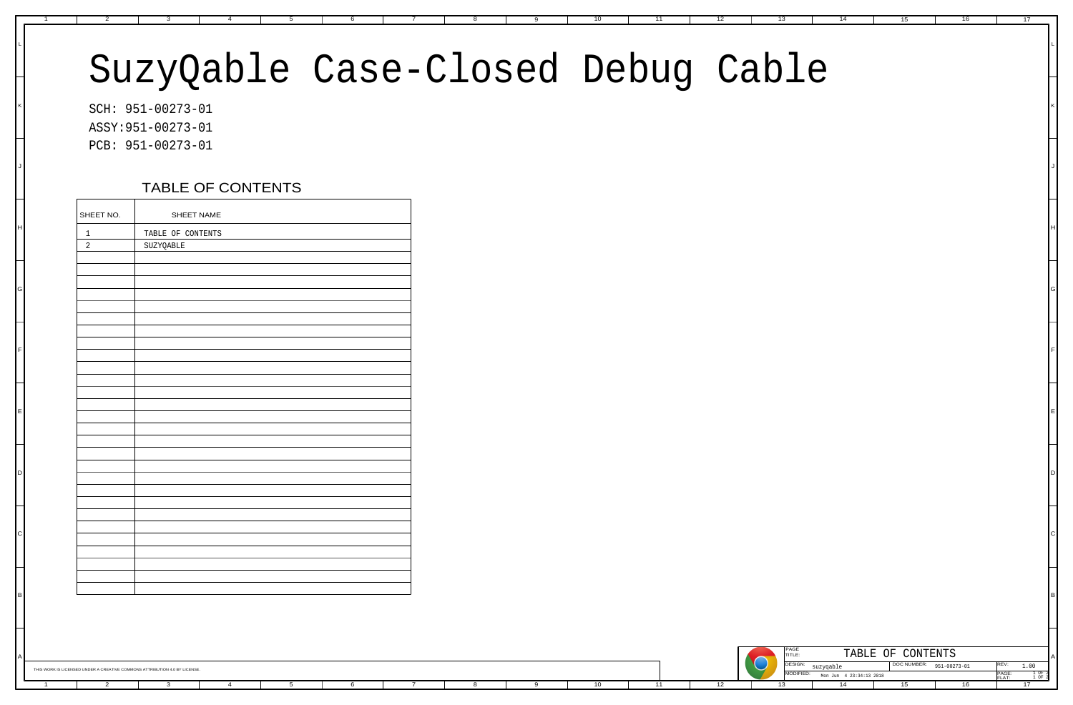## SuzyQable Case-Closed Debug Cable

|                                | ASSY: 951-00273-01             |  |  |  |
|--------------------------------|--------------------------------|--|--|--|
|                                | PCB: 951-00273-01              |  |  |  |
|                                | TABLE OF CONTENTS              |  |  |  |
| SHEET NO.                      | SHEET NAME                     |  |  |  |
| $\mathbf{1}$<br>$\overline{2}$ | TABLE OF CONTENTS<br>SUZYQABLE |  |  |  |
|                                |                                |  |  |  |
|                                |                                |  |  |  |
|                                |                                |  |  |  |
|                                |                                |  |  |  |
|                                |                                |  |  |  |
|                                |                                |  |  |  |
|                                |                                |  |  |  |
|                                |                                |  |  |  |
|                                |                                |  |  |  |
|                                |                                |  |  |  |
|                                |                                |  |  |  |
|                                |                                |  |  |  |
|                                |                                |  |  |  |
|                                |                                |  |  |  |

H

A

K

J

| $1\,$          | TABLE OF CONTENTS |  |
|----------------|-------------------|--|
| $\overline{c}$ | SUZYQABLE         |  |
|                |                   |  |
|                |                   |  |
|                |                   |  |
|                |                   |  |
|                |                   |  |
|                |                   |  |
|                |                   |  |
|                |                   |  |
|                |                   |  |
|                |                   |  |
|                |                   |  |
|                |                   |  |
|                |                   |  |
|                |                   |  |
|                |                   |  |
|                |                   |  |
|                |                   |  |
|                |                   |  |
|                |                   |  |
|                |                   |  |
|                |                   |  |
|                |                   |  |
|                |                   |  |
|                |                   |  |
|                |                   |  |
|                |                   |  |
|                |                   |  |
|                |                   |  |
|                |                   |  |
|                |                   |  |

THIS WORK IS LICENSED UNDER A CREATIVE COMMONS ATTRIBUTION 4.0 BY LICENSE

B

C

D

E

F

G

L

## TABLE OF CONTENTS